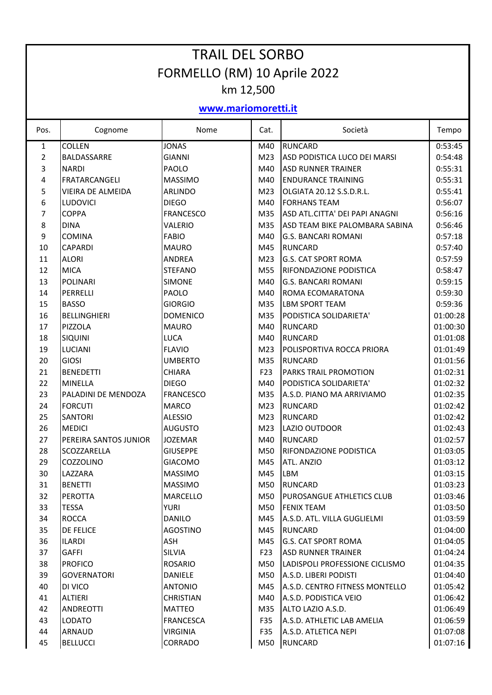| <b>TRAIL DEL SORBO</b>       |                          |                  |                 |                                |          |  |  |
|------------------------------|--------------------------|------------------|-----------------|--------------------------------|----------|--|--|
| FORMELLO (RM) 10 Aprile 2022 |                          |                  |                 |                                |          |  |  |
| km 12,500                    |                          |                  |                 |                                |          |  |  |
| www.mariomoretti.it          |                          |                  |                 |                                |          |  |  |
| Pos.                         | Cognome                  | Nome             | Cat.            | Società                        | Tempo    |  |  |
| 1                            | <b>COLLEN</b>            | <b>JONAS</b>     | M40             | <b>RUNCARD</b>                 | 0:53:45  |  |  |
| $\overline{2}$               | BALDASSARRE              | <b>GIANNI</b>    | M23             | ASD PODISTICA LUCO DEI MARSI   | 0:54:48  |  |  |
| 3                            | <b>NARDI</b>             | PAOLO            | M40             | <b>ASD RUNNER TRAINER</b>      | 0:55:31  |  |  |
| 4                            | FRATARCANGELI            | <b>MASSIMO</b>   | M40             | <b>ENDURANCE TRAINING</b>      | 0:55:31  |  |  |
| 5                            | <b>VIEIRA DE ALMEIDA</b> | ARLINDO          | M <sub>23</sub> | OLGIATA 20.12 S.S.D.R.L.       | 0:55:41  |  |  |
| 6                            | <b>LUDOVICI</b>          | <b>DIEGO</b>     | M40             | <b>FORHANS TEAM</b>            | 0:56:07  |  |  |
| 7                            | <b>COPPA</b>             | <b>FRANCESCO</b> | M35             | ASD ATL.CITTA' DEI PAPI ANAGNI | 0:56:16  |  |  |
| 8                            | <b>DINA</b>              | VALERIO          | M35             | ASD TEAM BIKE PALOMBARA SABINA | 0:56:46  |  |  |
| 9                            | <b>COMINA</b>            | <b>FABIO</b>     | M40             | <b>G.S. BANCARI ROMANI</b>     | 0:57:18  |  |  |
| 10                           | <b>CAPARDI</b>           | <b>MAURO</b>     | M45             | <b>RUNCARD</b>                 | 0:57:40  |  |  |
| 11                           | <b>ALORI</b>             | <b>ANDREA</b>    | M <sub>23</sub> | <b>G.S. CAT SPORT ROMA</b>     | 0:57:59  |  |  |
| 12                           | <b>MICA</b>              | <b>STEFANO</b>   | M55             | RIFONDAZIONE PODISTICA         | 0:58:47  |  |  |
| 13                           | <b>POLINARI</b>          | <b>SIMONE</b>    | M40             | <b>G.S. BANCARI ROMANI</b>     | 0:59:15  |  |  |
| 14                           | PERRELLI                 | PAOLO            | M40             | <b>ROMA ECOMARATONA</b>        | 0:59:30  |  |  |
| 15                           | <b>BASSO</b>             | <b>GIORGIO</b>   | M35             | <b>LBM SPORT TEAM</b>          | 0:59:36  |  |  |
| 16                           | <b>BELLINGHIERI</b>      | <b>DOMENICO</b>  | M35             | PODISTICA SOLIDARIETA'         | 01:00:28 |  |  |
| 17                           | PIZZOLA                  | <b>MAURO</b>     | M40             | <b>RUNCARD</b>                 | 01:00:30 |  |  |
| 18                           | <b>SIQUINI</b>           | LUCA             | M40             | <b>RUNCARD</b>                 | 01:01:08 |  |  |
| 19                           | <b>LUCIANI</b>           | <b>FLAVIO</b>    | M <sub>23</sub> | POLISPORTIVA ROCCA PRIORA      | 01:01:49 |  |  |
| 20                           | <b>GIOSI</b>             | <b>UMBERTO</b>   | M35             | <b>RUNCARD</b>                 | 01:01:56 |  |  |
| 21                           | <b>BENEDETTI</b>         | <b>CHIARA</b>    | F <sub>23</sub> | <b>PARKS TRAIL PROMOTION</b>   | 01:02:31 |  |  |
| 22                           | <b>MINELLA</b>           | <b>DIEGO</b>     | M40             | PODISTICA SOLIDARIETA'         | 01:02:32 |  |  |
| 23                           | PALADINI DE MENDOZA      | <b>FRANCESCO</b> | M35             | A.S.D. PIANO MA ARRIVIAMO      | 01:02:35 |  |  |
| 24                           | <b>FORCUTI</b>           | <b>MARCO</b>     | M23             | <b>RUNCARD</b>                 | 01:02:42 |  |  |
| 25                           | <b>SANTORI</b>           | <b>ALESSIO</b>   | M23             | <b>RUNCARD</b>                 | 01:02:42 |  |  |
| 26                           | <b>MEDICI</b>            | <b>AUGUSTO</b>   | M <sub>23</sub> | <b>LAZIO OUTDOOR</b>           | 01:02:43 |  |  |
| 27                           | PEREIRA SANTOS JUNIOR    | <b>JOZEMAR</b>   | M40             | <b>RUNCARD</b>                 | 01:02:57 |  |  |
| 28                           | SCOZZARELLA              | <b>GIUSEPPE</b>  | M50             | RIFONDAZIONE PODISTICA         | 01:03:05 |  |  |
| 29                           | COZZOLINO                | <b>GIACOMO</b>   | M45             | <b>ATL. ANZIO</b>              | 01:03:12 |  |  |
| 30                           | LAZZARA                  | <b>MASSIMO</b>   | M45             | LBM                            | 01:03:15 |  |  |
| 31                           | <b>BENETTI</b>           | <b>MASSIMO</b>   | M50             | <b>RUNCARD</b>                 | 01:03:23 |  |  |
| 32                           | <b>PEROTTA</b>           | <b>MARCELLO</b>  | M50             | PUROSANGUE ATHLETICS CLUB      | 01:03:46 |  |  |
| 33                           | <b>TESSA</b>             | <b>YURI</b>      | M50             | <b>FENIX TEAM</b>              | 01:03:50 |  |  |
| 34                           | <b>ROCCA</b>             | <b>DANILO</b>    | M45             | A.S.D. ATL. VILLA GUGLIELMI    | 01:03:59 |  |  |
| 35                           | <b>DE FELICE</b>         | AGOSTINO         | M45             | <b>RUNCARD</b>                 | 01:04:00 |  |  |
| 36                           | <b>ILARDI</b>            | ASH              | M45             | <b>G.S. CAT SPORT ROMA</b>     | 01:04:05 |  |  |
| 37                           | <b>GAFFI</b>             | SILVIA           | F23             | <b>ASD RUNNER TRAINER</b>      | 01:04:24 |  |  |
| 38                           | <b>PROFICO</b>           | <b>ROSARIO</b>   | M50             | LADISPOLI PROFESSIONE CICLISMO | 01:04:35 |  |  |
| 39                           | <b>GOVERNATORI</b>       | <b>DANIELE</b>   | M50             | A.S.D. LIBERI PODISTI          | 01:04:40 |  |  |
| 40                           | DI VICO                  | <b>ANTONIO</b>   | M45             | A.S.D. CENTRO FITNESS MONTELLO | 01:05:42 |  |  |
| 41                           | <b>ALTIERI</b>           | <b>CHRISTIAN</b> | M40             | A.S.D. PODISTICA VEIO          | 01:06:42 |  |  |
| 42                           | <b>ANDREOTTI</b>         | <b>MATTEO</b>    | M35             | ALTO LAZIO A.S.D.              | 01:06:49 |  |  |
| 43                           | <b>LODATO</b>            | <b>FRANCESCA</b> | F35             | A.S.D. ATHLETIC LAB AMELIA     | 01:06:59 |  |  |
| 44                           | <b>ARNAUD</b>            | <b>VIRGINIA</b>  | F35             | A.S.D. ATLETICA NEPI           | 01:07:08 |  |  |
| 45                           | <b>BELLUCCI</b>          | CORRADO          | M50             | <b>RUNCARD</b>                 | 01:07:16 |  |  |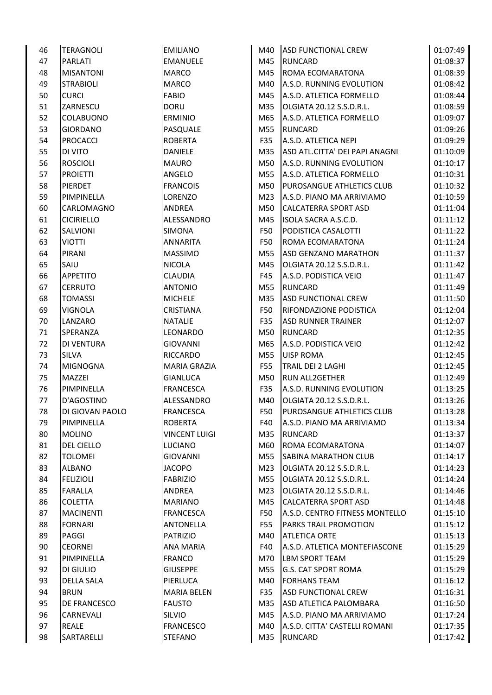| 46 | <b>TERAGNOLI</b>    | <b>EMILIANO</b>      | M40        | <b>ASD FUNCTIONAL CREW</b>       | 01:07:49 |
|----|---------------------|----------------------|------------|----------------------------------|----------|
| 47 | <b>PARLATI</b>      | <b>EMANUELE</b>      | M45        | <b>RUNCARD</b>                   | 01:08:37 |
| 48 | <b>MISANTONI</b>    | <b>MARCO</b>         | M45        | <b>ROMA ECOMARATONA</b>          | 01:08:39 |
| 49 | <b>STRABIOLI</b>    | <b>MARCO</b>         | M40        | A.S.D. RUNNING EVOLUTION         | 01:08:42 |
| 50 | <b>CURCI</b>        | <b>FABIO</b>         | M45        | A.S.D. ATLETICA FORMELLO         | 01:08:44 |
| 51 | ZARNESCU            | <b>DORU</b>          | M35        | OLGIATA 20.12 S.S.D.R.L.         | 01:08:59 |
| 52 | <b>COLABUONO</b>    | <b>ERMINIO</b>       | M65        | A.S.D. ATLETICA FORMELLO         | 01:09:07 |
| 53 | <b>GIORDANO</b>     | PASQUALE             | M55        | <b>RUNCARD</b>                   | 01:09:26 |
| 54 | <b>PROCACCI</b>     | <b>ROBERTA</b>       | F35        | A.S.D. ATLETICA NEPI             | 01:09:29 |
| 55 | DI VITO             | <b>DANIELE</b>       | M35        | ASD ATL.CITTA' DEI PAPI ANAGNI   | 01:10:09 |
| 56 | <b>ROSCIOLI</b>     | <b>MAURO</b>         | M50        | A.S.D. RUNNING EVOLUTION         | 01:10:17 |
| 57 | <b>PROIETTI</b>     | <b>ANGELO</b>        | M55        | A.S.D. ATLETICA FORMELLO         | 01:10:31 |
| 58 | <b>PIERDET</b>      | <b>FRANCOIS</b>      | M50        | <b>PUROSANGUE ATHLETICS CLUB</b> | 01:10:32 |
| 59 | PIMPINELLA          | <b>LORENZO</b>       | M23        | A.S.D. PIANO MA ARRIVIAMO        | 01:10:59 |
| 60 | CARLOMAGNO          | <b>ANDREA</b>        | M50        | <b>CALCATERRA SPORT ASD</b>      | 01:11:04 |
| 61 | <b>CICIRIELLO</b>   | ALESSANDRO           | M45        | ISOLA SACRA A.S.C.D.             | 01:11:12 |
| 62 | SALVIONI            | <b>SIMONA</b>        | F50        | PODISTICA CASALOTTI              | 01:11:22 |
| 63 | <b>VIOTTI</b>       | <b>ANNARITA</b>      | <b>F50</b> | ROMA ECOMARATONA                 | 01:11:24 |
| 64 | PIRANI              | <b>MASSIMO</b>       | M55        | <b>ASD GENZANO MARATHON</b>      | 01:11:37 |
| 65 | SAIU                | <b>NICOLA</b>        | M45        | OLGIATA 20.12 S.S.D.R.L.         | 01:11:42 |
| 66 | <b>APPETITO</b>     | <b>CLAUDIA</b>       | F45        | A.S.D. PODISTICA VEIO            | 01:11:47 |
| 67 | <b>CERRUTO</b>      | <b>ANTONIO</b>       | M55        | <b>RUNCARD</b>                   | 01:11:49 |
| 68 | <b>TOMASSI</b>      | <b>MICHELE</b>       | M35        | <b>ASD FUNCTIONAL CREW</b>       | 01:11:50 |
| 69 | <b>VIGNOLA</b>      | <b>CRISTIANA</b>     | F50        | <b>RIFONDAZIONE PODISTICA</b>    | 01:12:04 |
| 70 | LANZARO             | <b>NATALIE</b>       | F35        | <b>ASD RUNNER TRAINER</b>        | 01:12:07 |
| 71 | SPERANZA            | LEONARDO             | M50        | <b>RUNCARD</b>                   | 01:12:35 |
| 72 | DI VENTURA          | <b>GIOVANNI</b>      | M65        | A.S.D. PODISTICA VEIO            | 01:12:42 |
| 73 | <b>SILVA</b>        | <b>RICCARDO</b>      | M55        | <b>UISP ROMA</b>                 | 01:12:45 |
| 74 | <b>MIGNOGNA</b>     | <b>MARIA GRAZIA</b>  | F55        | TRAIL DEI 2 LAGHI                | 01:12:45 |
| 75 | MAZZEI              | <b>GIANLUCA</b>      | M50        | <b>RUN ALL2GETHER</b>            | 01:12:49 |
| 76 | PIMPINELLA          | <b>FRANCESCA</b>     | F35        | A.S.D. RUNNING EVOLUTION         | 01:13:25 |
| 77 | D'AGOSTINO          | ALESSANDRO           | M40        | OLGIATA 20.12 S.S.D.R.L.         | 01:13:26 |
| 78 | DI GIOVAN PAOLO     | <b>FRANCESCA</b>     | F50        | <b>PUROSANGUE ATHLETICS CLUB</b> | 01:13:28 |
| 79 | PIMPINELLA          | <b>ROBERTA</b>       | F40        | A.S.D. PIANO MA ARRIVIAMO        | 01:13:34 |
| 80 | <b>MOLINO</b>       | <b>VINCENT LUIGI</b> | M35        | <b>RUNCARD</b>                   | 01:13:37 |
| 81 | <b>DEL CIELLO</b>   | LUCIANO              | M60        | ROMA ECOMARATONA                 | 01:14:07 |
| 82 | <b>TOLOMEI</b>      | <b>GIOVANNI</b>      | M55        | <b>SABINA MARATHON CLUB</b>      | 01:14:17 |
| 83 | <b>ALBANO</b>       | <b>JACOPO</b>        | M23        | OLGIATA 20.12 S.S.D.R.L.         | 01:14:23 |
| 84 | <b>FELIZIOLI</b>    | <b>FABRIZIO</b>      | M55        | OLGIATA 20.12 S.S.D.R.L.         | 01:14:24 |
| 85 | <b>FARALLA</b>      | ANDREA               | M23        | OLGIATA 20.12 S.S.D.R.L.         | 01:14:46 |
| 86 | <b>COLETTA</b>      | <b>MARIANO</b>       | M45        | <b>CALCATERRA SPORT ASD</b>      | 01:14:48 |
| 87 | <b>MACINENTI</b>    | <b>FRANCESCA</b>     | F50        | A.S.D. CENTRO FITNESS MONTELLO   | 01:15:10 |
| 88 | <b>FORNARI</b>      | <b>ANTONELLA</b>     | F55        | PARKS TRAIL PROMOTION            | 01:15:12 |
| 89 | PAGGI               | PATRIZIO             | M40        | <b>ATLETICA ORTE</b>             | 01:15:13 |
| 90 | <b>CEORNEI</b>      | <b>ANA MARIA</b>     | F40        | A.S.D. ATLETICA MONTEFIASCONE    | 01:15:29 |
| 91 | PIMPINELLA          | <b>FRANCO</b>        | M70        | <b>LBM SPORT TEAM</b>            | 01:15:29 |
| 92 | DI GIULIO           | <b>GIUSEPPE</b>      | M55        | <b>G.S. CAT SPORT ROMA</b>       | 01:15:29 |
| 93 | <b>DELLA SALA</b>   | PIERLUCA             | M40        | <b>FORHANS TEAM</b>              | 01:16:12 |
| 94 | <b>BRUN</b>         | <b>MARIA BELEN</b>   | F35        | <b>ASD FUNCTIONAL CREW</b>       | 01:16:31 |
| 95 | <b>DE FRANCESCO</b> | <b>FAUSTO</b>        | M35        | ASD ATLETICA PALOMBARA           | 01:16:50 |
| 96 | <b>CARNEVALI</b>    | SILVIO               | M45        | A.S.D. PIANO MA ARRIVIAMO        | 01:17:24 |
| 97 | <b>REALE</b>        | <b>FRANCESCO</b>     | M40        | A.S.D. CITTA' CASTELLI ROMANI    | 01:17:35 |
| 98 | SARTARELLI          | <b>STEFANO</b>       | M35        | <b>RUNCARD</b>                   | 01:17:42 |
|    |                     |                      |            |                                  |          |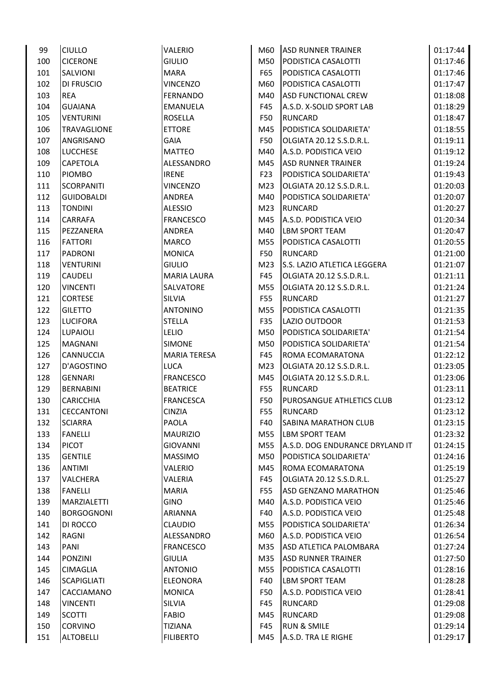| 99  | <b>CIULLO</b>      | <b>VALERIO</b>      | M60        | <b>ASD RUNNER TRAINER</b>        | 01:17:44 |
|-----|--------------------|---------------------|------------|----------------------------------|----------|
| 100 | <b>CICERONE</b>    | <b>GIULIO</b>       | M50        | PODISTICA CASALOTTI              | 01:17:46 |
| 101 | SALVIONI           | <b>MARA</b>         | F65        | PODISTICA CASALOTTI              | 01:17:46 |
| 102 | <b>DI FRUSCIO</b>  | <b>VINCENZO</b>     | M60        | PODISTICA CASALOTTI              | 01:17:47 |
| 103 | <b>REA</b>         | FERNANDO            | M40        | <b>ASD FUNCTIONAL CREW</b>       | 01:18:08 |
| 104 | <b>GUAIANA</b>     | <b>EMANUELA</b>     | F45        | A.S.D. X-SOLID SPORT LAB         | 01:18:29 |
| 105 | <b>VENTURINI</b>   | <b>ROSELLA</b>      | F50        | <b>RUNCARD</b>                   | 01:18:47 |
| 106 | <b>TRAVAGLIONE</b> | <b>ETTORE</b>       | M45        | PODISTICA SOLIDARIETA'           | 01:18:55 |
| 107 | ANGRISANO          | <b>GAIA</b>         | <b>F50</b> | OLGIATA 20.12 S.S.D.R.L.         | 01:19:11 |
| 108 | <b>LUCCHESE</b>    | <b>MATTEO</b>       | M40        | A.S.D. PODISTICA VEIO            | 01:19:12 |
| 109 | CAPETOLA           | ALESSANDRO          | M45        | <b>ASD RUNNER TRAINER</b>        | 01:19:24 |
| 110 | <b>PIOMBO</b>      | <b>IRENE</b>        | F23        | PODISTICA SOLIDARIETA'           | 01:19:43 |
| 111 | <b>SCORPANITI</b>  | <b>VINCENZO</b>     | M23        | OLGIATA 20.12 S.S.D.R.L.         | 01:20:03 |
| 112 | <b>GUIDOBALDI</b>  | <b>ANDREA</b>       | M40        | PODISTICA SOLIDARIETA'           | 01:20:07 |
| 113 | <b>TONDINI</b>     | <b>ALESSIO</b>      | M23        | <b>RUNCARD</b>                   | 01:20:27 |
| 114 | CARRAFA            | <b>FRANCESCO</b>    | M45        | A.S.D. PODISTICA VEIO            | 01:20:34 |
| 115 | PEZZANERA          | ANDREA              | M40        | <b>LBM SPORT TEAM</b>            | 01:20:47 |
|     |                    |                     | M55        |                                  |          |
| 116 | <b>FATTORI</b>     | <b>MARCO</b>        |            | PODISTICA CASALOTTI              | 01:20:55 |
| 117 | PADRONI            | <b>MONICA</b>       | F50        | <b>RUNCARD</b>                   | 01:21:00 |
| 118 | <b>VENTURINI</b>   | <b>GIULIO</b>       | M23        | S.S. LAZIO ATLETICA LEGGERA      | 01:21:07 |
| 119 | <b>CAUDELI</b>     | <b>MARIA LAURA</b>  | F45        | OLGIATA 20.12 S.S.D.R.L.         | 01:21:11 |
| 120 | <b>VINCENTI</b>    | <b>SALVATORE</b>    | M55        | OLGIATA 20.12 S.S.D.R.L.         | 01:21:24 |
| 121 | <b>CORTESE</b>     | <b>SILVIA</b>       | F55        | <b>RUNCARD</b>                   | 01:21:27 |
| 122 | <b>GILETTO</b>     | <b>ANTONINO</b>     | M55        | PODISTICA CASALOTTI              | 01:21:35 |
| 123 | <b>LUCIFORA</b>    | <b>STELLA</b>       | F35        | LAZIO OUTDOOR                    | 01:21:53 |
| 124 | <b>LUPAIOLI</b>    | <b>LELIO</b>        | M50        | PODISTICA SOLIDARIETA'           | 01:21:54 |
| 125 | <b>MAGNANI</b>     | <b>SIMONE</b>       | M50        | PODISTICA SOLIDARIETA'           | 01:21:54 |
| 126 | CANNUCCIA          | <b>MARIA TERESA</b> | F45        | ROMA ECOMARATONA                 | 01:22:12 |
| 127 | D'AGOSTINO         | <b>LUCA</b>         | M23        | OLGIATA 20.12 S.S.D.R.L.         | 01:23:05 |
| 128 | <b>GENNARI</b>     | <b>FRANCESCO</b>    | M45        | OLGIATA 20.12 S.S.D.R.L.         | 01:23:06 |
| 129 | <b>BERNABINI</b>   | <b>BEATRICE</b>     | <b>F55</b> | <b>RUNCARD</b>                   | 01:23:11 |
| 130 | <b>CARICCHIA</b>   | <b>FRANCESCA</b>    | F50        | <b>PUROSANGUE ATHLETICS CLUB</b> | 01:23:12 |
| 131 | <b>CECCANTONI</b>  | <b>CINZIA</b>       | F55        | <b>RUNCARD</b>                   | 01:23:12 |
| 132 | <b>SCIARRA</b>     | PAOLA               | F40        | <b>SABINA MARATHON CLUB</b>      | 01:23:15 |
| 133 | <b>FANELLI</b>     | <b>MAURIZIO</b>     | M55        | <b>LBM SPORT TEAM</b>            | 01:23:32 |
| 134 | <b>PICOT</b>       | <b>GIOVANNI</b>     | M55        | A.S.D. DOG ENDURANCE DRYLAND IT  | 01:24:15 |
| 135 | <b>GENTILE</b>     | <b>MASSIMO</b>      | M50        | PODISTICA SOLIDARIETA'           | 01:24:16 |
| 136 | <b>ANTIMI</b>      | VALERIO             | M45        | ROMA ECOMARATONA                 | 01:25:19 |
| 137 | <b>VALCHERA</b>    | VALERIA             | F45        | OLGIATA 20.12 S.S.D.R.L.         | 01:25:27 |
| 138 | <b>FANELLI</b>     | <b>MARIA</b>        | F55        | <b>ASD GENZANO MARATHON</b>      | 01:25:46 |
| 139 | MARZIALETTI        | <b>GINO</b>         | M40        | A.S.D. PODISTICA VEIO            | 01:25:46 |
| 140 | <b>BORGOGNONI</b>  | ARIANNA             | F40        | A.S.D. PODISTICA VEIO            | 01:25:48 |
| 141 | DI ROCCO           | <b>CLAUDIO</b>      | M55        | PODISTICA SOLIDARIETA'           | 01:26:34 |
| 142 | RAGNI              | ALESSANDRO          | M60        | A.S.D. PODISTICA VEIO            | 01:26:54 |
| 143 | PANI               | <b>FRANCESCO</b>    | M35        | ASD ATLETICA PALOMBARA           | 01:27:24 |
| 144 | <b>PONZINI</b>     | <b>GIULIA</b>       | M35        | <b>ASD RUNNER TRAINER</b>        | 01:27:50 |
| 145 | <b>CIMAGLIA</b>    | <b>ANTONIO</b>      | M55        | PODISTICA CASALOTTI              | 01:28:16 |
| 146 | <b>SCAPIGLIATI</b> | <b>ELEONORA</b>     | F40        | LBM SPORT TEAM                   | 01:28:28 |
| 147 | CACCIAMANO         | <b>MONICA</b>       | F50        | A.S.D. PODISTICA VEIO            | 01:28:41 |
| 148 | <b>VINCENTI</b>    | <b>SILVIA</b>       | F45        | <b>RUNCARD</b>                   | 01:29:08 |
| 149 | <b>SCOTTI</b>      | <b>FABIO</b>        | M45        | <b>RUNCARD</b>                   | 01:29:08 |
| 150 | <b>CORVINO</b>     | <b>TIZIANA</b>      | F45        | <b>RUN &amp; SMILE</b>           | 01:29:14 |
| 151 | <b>ALTOBELLI</b>   | <b>FILIBERTO</b>    | M45        | A.S.D. TRA LE RIGHE              | 01:29:17 |
|     |                    |                     |            |                                  |          |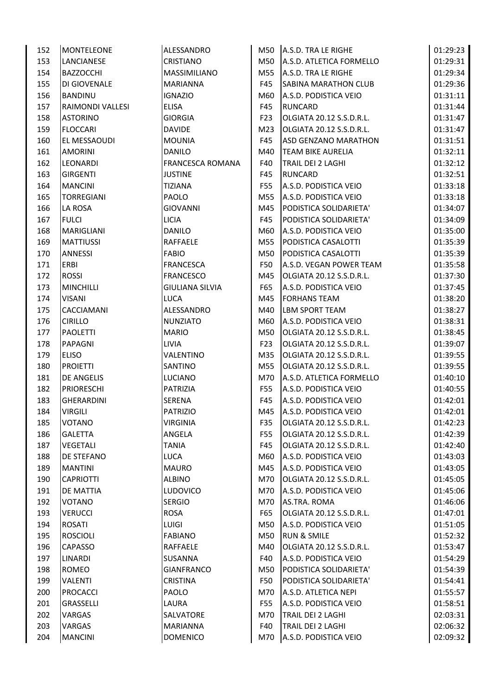| 152 | <b>MONTELEONE</b> | ALESSANDRO              |                 | M50 A.S.D. TRA LE RIGHE                    | 01:29:23 |
|-----|-------------------|-------------------------|-----------------|--------------------------------------------|----------|
| 153 | <b>LANCIANESE</b> | <b>CRISTIANO</b>        | M50             | A.S.D. ATLETICA FORMELLO                   | 01:29:31 |
| 154 | <b>BAZZOCCHI</b>  | <b>MASSIMILIANO</b>     | M55             | A.S.D. TRA LE RIGHE                        | 01:29:34 |
| 155 | DI GIOVENALE      | <b>MARIANNA</b>         | F45             | <b>SABINA MARATHON CLUB</b>                | 01:29:36 |
| 156 | <b>BANDINU</b>    | <b>IGNAZIO</b>          | M60             | A.S.D. PODISTICA VEIO                      | 01:31:11 |
| 157 | RAIMONDI VALLESI  | ELISA                   | F45             | <b>RUNCARD</b>                             | 01:31:44 |
| 158 | <b>ASTORINO</b>   | <b>GIORGIA</b>          | F <sub>23</sub> | OLGIATA 20.12 S.S.D.R.L.                   | 01:31:47 |
| 159 | <b>FLOCCARI</b>   | <b>DAVIDE</b>           | M23             | OLGIATA 20.12 S.S.D.R.L.                   | 01:31:47 |
| 160 | EL MESSAOUDI      | <b>MOUNIA</b>           | F45             | <b>ASD GENZANO MARATHON</b>                | 01:31:51 |
| 161 | <b>AMORINI</b>    | <b>DANILO</b>           | M40             | <b>TEAM BIKE AURELIA</b>                   | 01:32:11 |
| 162 | <b>LEONARDI</b>   | <b>FRANCESCA ROMANA</b> | F40             | TRAIL DEI 2 LAGHI                          | 01:32:12 |
| 163 | <b>GIRGENTI</b>   | <b>JUSTINE</b>          | F45             | <b>RUNCARD</b>                             | 01:32:51 |
| 164 | <b>MANCINI</b>    | <b>TIZIANA</b>          | F55             | A.S.D. PODISTICA VEIO                      | 01:33:18 |
| 165 | <b>TORREGIANI</b> | PAOLO                   | M55             | A.S.D. PODISTICA VEIO                      | 01:33:18 |
| 166 | LA ROSA           | <b>GIOVANNI</b>         | M45             | PODISTICA SOLIDARIETA'                     | 01:34:07 |
| 167 | <b>FULCI</b>      | <b>LICIA</b>            | F45             | PODISTICA SOLIDARIETA'                     | 01:34:09 |
| 168 | <b>MARIGLIANI</b> | <b>DANILO</b>           | M60             | A.S.D. PODISTICA VEIO                      | 01:35:00 |
|     |                   | <b>RAFFAELE</b>         | M55             |                                            |          |
| 169 | <b>MATTIUSSI</b>  |                         |                 | PODISTICA CASALOTTI<br>PODISTICA CASALOTTI | 01:35:39 |
| 170 | <b>ANNESSI</b>    | <b>FABIO</b>            | M50             |                                            | 01:35:39 |
| 171 | <b>ERBI</b>       | <b>FRANCESCA</b>        | F50             | A.S.D. VEGAN POWER TEAM                    | 01:35:58 |
| 172 | <b>ROSSI</b>      | <b>FRANCESCO</b>        | M45             | OLGIATA 20.12 S.S.D.R.L.                   | 01:37:30 |
| 173 | <b>MINCHILLI</b>  | <b>GIULIANA SILVIA</b>  | F65             | A.S.D. PODISTICA VEIO                      | 01:37:45 |
| 174 | <b>VISANI</b>     | <b>LUCA</b>             | M45             | <b>FORHANS TEAM</b>                        | 01:38:20 |
| 175 | CACCIAMANI        | ALESSANDRO              | M40             | <b>LBM SPORT TEAM</b>                      | 01:38:27 |
| 176 | <b>CIRILLO</b>    | <b>NUNZIATO</b>         | M60             | A.S.D. PODISTICA VEIO                      | 01:38:31 |
| 177 | <b>PAOLETTI</b>   | <b>MARIO</b>            | M50             | OLGIATA 20.12 S.S.D.R.L.                   | 01:38:45 |
| 178 | PAPAGNI           | <b>LIVIA</b>            | F23             | OLGIATA 20.12 S.S.D.R.L.                   | 01:39:07 |
| 179 | <b>ELISO</b>      | VALENTINO               | M35             | OLGIATA 20.12 S.S.D.R.L.                   | 01:39:55 |
| 180 | <b>PROIETTI</b>   | SANTINO                 | M55             | OLGIATA 20.12 S.S.D.R.L.                   | 01:39:55 |
| 181 | <b>DE ANGELIS</b> | <b>LUCIANO</b>          | M70             | A.S.D. ATLETICA FORMELLO                   | 01:40:10 |
| 182 | <b>PRIORESCHI</b> | PATRIZIA                | F55             | A.S.D. PODISTICA VEIO                      | 01:40:55 |
| 183 | <b>GHERARDINI</b> | <b>SERENA</b>           | F45             | A.S.D. PODISTICA VEIO                      | 01:42:01 |
| 184 | <b>VIRGILI</b>    | <b>PATRIZIO</b>         | M45             | A.S.D. PODISTICA VEIO                      | 01:42:01 |
| 185 | <b>VOTANO</b>     | VIRGINIA                | F35             | OLGIATA 20.12 S.S.D.R.L.                   | 01:42:23 |
| 186 | <b>GALETTA</b>    | ANGELA                  | F55             | OLGIATA 20.12 S.S.D.R.L.                   | 01:42:39 |
| 187 | <b>VEGETALI</b>   | <b>TANIA</b>            | F45             | OLGIATA 20.12 S.S.D.R.L.                   | 01:42:40 |
| 188 | <b>DE STEFANO</b> | <b>LUCA</b>             | M60             | A.S.D. PODISTICA VEIO                      | 01:43:03 |
| 189 | <b>MANTINI</b>    | <b>MAURO</b>            | M45             | A.S.D. PODISTICA VEIO                      | 01:43:05 |
| 190 | <b>CAPRIOTTI</b>  | <b>ALBINO</b>           | M70             | OLGIATA 20.12 S.S.D.R.L.                   | 01:45:05 |
| 191 | <b>DE MATTIA</b>  | <b>LUDOVICO</b>         | M70             | A.S.D. PODISTICA VEIO                      | 01:45:06 |
| 192 | <b>VOTANO</b>     | <b>SERGIO</b>           | M70             | AS.TRA. ROMA                               | 01:46:06 |
| 193 | <b>VERUCCI</b>    | <b>ROSA</b>             | F65             | OLGIATA 20.12 S.S.D.R.L.                   | 01:47:01 |
| 194 | <b>ROSATI</b>     | <b>LUIGI</b>            | M50             | A.S.D. PODISTICA VEIO                      | 01:51:05 |
| 195 | <b>ROSCIOLI</b>   | <b>FABIANO</b>          | M50             | <b>RUN &amp; SMILE</b>                     | 01:52:32 |
| 196 | CAPASSO           | <b>RAFFAELE</b>         | M40             | OLGIATA 20.12 S.S.D.R.L.                   | 01:53:47 |
| 197 | LINARDI           | <b>SUSANNA</b>          | F40             | A.S.D. PODISTICA VEIO                      | 01:54:29 |
| 198 | <b>ROMEO</b>      | <b>GIANFRANCO</b>       | M50             | PODISTICA SOLIDARIETA'                     | 01:54:39 |
| 199 | <b>VALENTI</b>    | <b>CRISTINA</b>         | F50             | PODISTICA SOLIDARIETA'                     | 01:54:41 |
| 200 | <b>PROCACCI</b>   | PAOLO                   | M70             | A.S.D. ATLETICA NEPI                       | 01:55:57 |
| 201 | <b>GRASSELLI</b>  | LAURA                   | F55             | A.S.D. PODISTICA VEIO                      | 01:58:51 |
| 202 | VARGAS            | SALVATORE               | M70             | TRAIL DEI 2 LAGHI                          | 02:03:31 |
| 203 | VARGAS            | <b>MARIANNA</b>         | F40             | TRAIL DEI 2 LAGHI                          | 02:06:32 |
| 204 | <b>MANCINI</b>    | <b>DOMENICO</b>         | M70             | A.S.D. PODISTICA VEIO                      | 02:09:32 |
|     |                   |                         |                 |                                            |          |